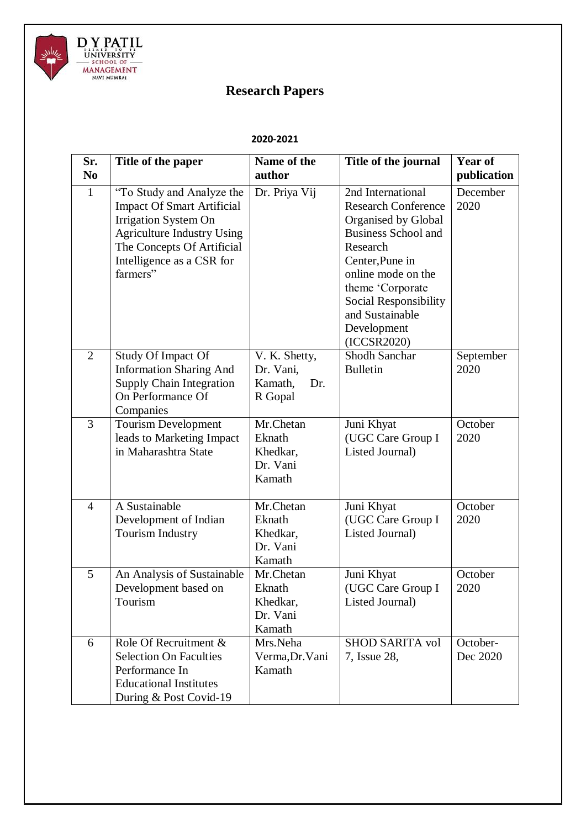

## **Research Papers**

## **2020-2021**

| Sr.            | Title of the paper                                                                                                                                                                                        | Name of the                                             | Title of the journal                                                                                                                                                                                                                                    | Year of              |
|----------------|-----------------------------------------------------------------------------------------------------------------------------------------------------------------------------------------------------------|---------------------------------------------------------|---------------------------------------------------------------------------------------------------------------------------------------------------------------------------------------------------------------------------------------------------------|----------------------|
| N <sub>0</sub> |                                                                                                                                                                                                           | author                                                  |                                                                                                                                                                                                                                                         | publication          |
| $\mathbf{1}$   | "To Study and Analyze the<br><b>Impact Of Smart Artificial</b><br><b>Irrigation System On</b><br><b>Agriculture Industry Using</b><br>The Concepts Of Artificial<br>Intelligence as a CSR for<br>farmers" | Dr. Priya Vij                                           | 2nd International<br><b>Research Conference</b><br>Organised by Global<br><b>Business School and</b><br>Research<br>Center, Pune in<br>online mode on the<br>theme 'Corporate<br>Social Responsibility<br>and Sustainable<br>Development<br>(ICCSR2020) | December<br>2020     |
| $\overline{2}$ | <b>Study Of Impact Of</b><br><b>Information Sharing And</b><br><b>Supply Chain Integration</b><br>On Performance Of<br>Companies                                                                          | V. K. Shetty,<br>Dr. Vani,<br>Kamath,<br>Dr.<br>R Gopal | <b>Shodh Sanchar</b><br><b>Bulletin</b>                                                                                                                                                                                                                 | September<br>2020    |
| 3              | <b>Tourism Development</b><br>leads to Marketing Impact<br>in Maharashtra State                                                                                                                           | Mr.Chetan<br>Eknath<br>Khedkar,<br>Dr. Vani<br>Kamath   | Juni Khyat<br>(UGC Care Group I<br>Listed Journal)                                                                                                                                                                                                      | October<br>2020      |
| $\overline{4}$ | A Sustainable<br>Development of Indian<br><b>Tourism Industry</b>                                                                                                                                         | Mr.Chetan<br>Eknath<br>Khedkar,<br>Dr. Vani<br>Kamath   | Juni Khyat<br>(UGC Care Group I<br>Listed Journal)                                                                                                                                                                                                      | October<br>2020      |
| 5              | An Analysis of Sustainable<br>Development based on<br>Tourism                                                                                                                                             | Mr.Chetan<br>Eknath<br>Khedkar,<br>Dr. Vani<br>Kamath   | Juni Khyat<br>(UGC Care Group I<br>Listed Journal)                                                                                                                                                                                                      | October<br>2020      |
| 6              | Role Of Recruitment &<br><b>Selection On Faculties</b><br>Performance In<br><b>Educational Institutes</b><br>During & Post Covid-19                                                                       | Mrs.Neha<br>Verma, Dr. Vani<br>Kamath                   | <b>SHOD SARITA vol</b><br>7, Issue 28,                                                                                                                                                                                                                  | October-<br>Dec 2020 |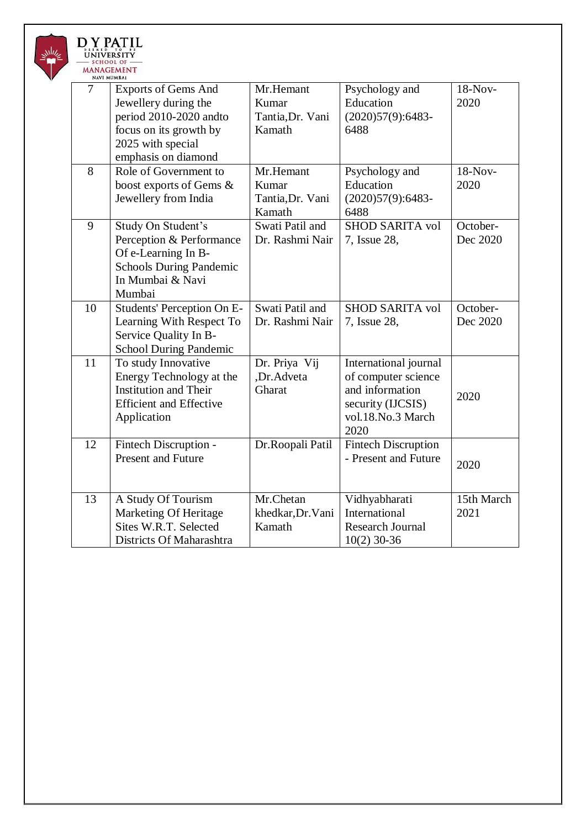

| $\overline{7}$ | <b>Exports of Gems And</b><br>Jewellery during the<br>period 2010-2020 andto<br>focus on its growth by<br>2025 with special<br>emphasis on diamond | Mr.Hemant<br>Kumar<br>Tantia, Dr. Vani<br>Kamath | Psychology and<br>Education<br>$(2020)57(9):6483-$<br>6488                                                        | 18-Nov-<br>2020      |
|----------------|----------------------------------------------------------------------------------------------------------------------------------------------------|--------------------------------------------------|-------------------------------------------------------------------------------------------------------------------|----------------------|
| 8              | Role of Government to<br>boost exports of Gems &<br>Jewellery from India                                                                           | Mr.Hemant<br>Kumar<br>Tantia, Dr. Vani<br>Kamath | Psychology and<br>Education<br>$(2020)57(9):6483-$<br>6488                                                        | 18-Nov-<br>2020      |
| 9              | Study On Student's<br>Perception & Performance<br>Of e-Learning In B-<br><b>Schools During Pandemic</b><br>In Mumbai & Navi<br>Mumbai              | Swati Patil and<br>Dr. Rashmi Nair               | <b>SHOD SARITA vol</b><br>7, Issue 28,                                                                            | October-<br>Dec 2020 |
| 10             | Students' Perception On E-<br>Learning With Respect To<br>Service Quality In B-<br><b>School During Pandemic</b>                                   | Swati Patil and<br>Dr. Rashmi Nair               | <b>SHOD SARITA vol</b><br>7, Issue 28,                                                                            | October-<br>Dec 2020 |
| 11             | To study Innovative<br>Energy Technology at the<br><b>Institution and Their</b><br><b>Efficient and Effective</b><br>Application                   | Dr. Priya Vij<br>,Dr.Adveta<br>Gharat            | International journal<br>of computer science<br>and information<br>security (IJCSIS)<br>vol.18.No.3 March<br>2020 | 2020                 |
| 12             | Fintech Discruption -<br><b>Present and Future</b>                                                                                                 | Dr.Roopali Patil                                 | <b>Fintech Discruption</b><br>- Present and Future                                                                | 2020                 |
| 13             | A Study Of Tourism<br>Marketing Of Heritage<br>Sites W.R.T. Selected<br>Districts Of Maharashtra                                                   | Mr.Chetan<br>khedkar, Dr. Vani<br>Kamath         | Vidhyabharati<br>International<br><b>Research Journal</b><br>$10(2)$ 30-36                                        | 15th March<br>2021   |